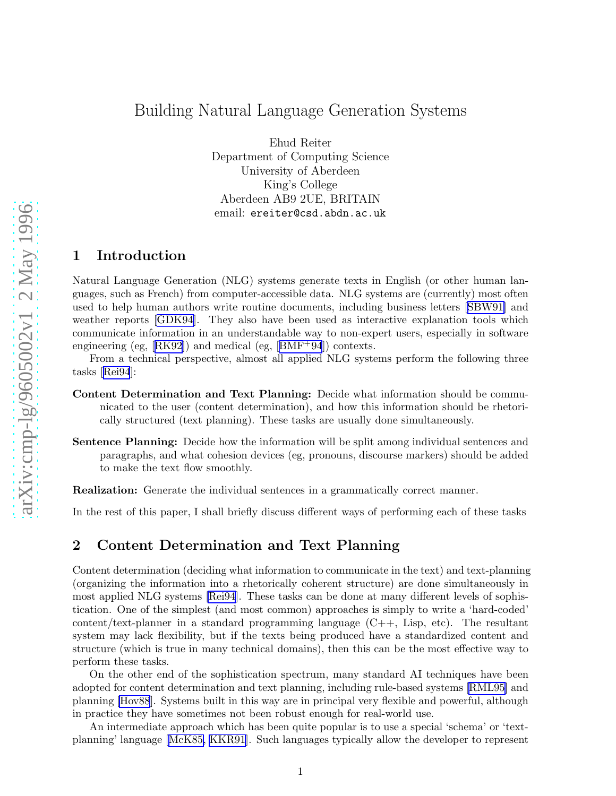# Building Natural Language Generation Systems

Ehud Reiter Department of Computing Science University of Aberdeen King's College Aberdeen AB9 2UE, BRITAIN email: ereiter@csd.abdn.ac.uk

### 1 Introduction

Natural Language Generation (NLG) systems generate texts in English (or other human languages, such as French) from computer-accessible data. NLG systems are (currently) most often used to help human authors write routine documents, including business letters[[SBW91\]](#page-2-0) and weather reports [\[GDK94](#page-2-0)]. They also have been used as interactive explanation tools which communicate information in an understandable way to non-expert users, especially in software engineering(eg,  $[RK92]$  $[RK92]$  $[RK92]$ ) and medical (eg,  $[BMF+94]$  $[BMF+94]$  $[BMF+94]$ ) contexts.

From a technical perspective, almost all applied NLG systems perform the following three tasks[[Rei94](#page-2-0)]:

- Content Determination and Text Planning: Decide what information should be communicated to the user (content determination), and how this information should be rhetorically structured (text planning). These tasks are usually done simultaneously.
- Sentence Planning: Decide how the information will be split among individual sentences and paragraphs, and what cohesion devices (eg, pronouns, discourse markers) should be added to make the text flow smoothly.

Realization: Generate the individual sentences in a grammatically correct manner.

In the rest of this paper, I shall briefly discuss different ways of performing each of these tasks

#### 2 Content Determination and Text Planning

Content determination (deciding what information to communicate in the text) and text-planning (organizing the information into a rhetorically coherent structure) are done simultaneously in most applied NLG systems [\[Rei94](#page-2-0)]. These tasks can be done at many different levels of sophistication. One of the simplest (and most common) approaches is simply to write a 'hard-coded' content/text-planner in a standard programming language  $(C++, Lisp, etc)$ . The resultant system may lack flexibility, but if the texts being produced have a standardized content and structure (which is true in many technical domains), then this can be the most effective way to perform these tasks.

On the other end of the sophistication spectrum, many standard AI techniques have been adopted for content determination and text planning, including rule-based systems [\[RML95](#page-2-0)] and planning [\[Hov88](#page-2-0)]. Systems built in this way are in principal very flexible and powerful, although in practice they have sometimes not been robust enough for real-world use.

An intermediate approach which has been quite popular is to use a special 'schema' or 'textplanning' language[[McK85, KKR91](#page-2-0)]. Such languages typically allow the developer to represent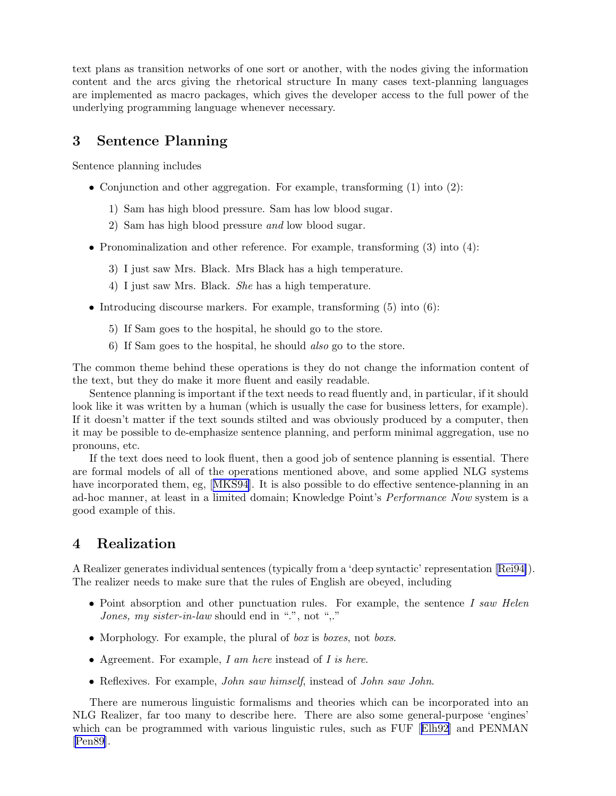text plans as transition networks of one sort or another, with the nodes giving the information content and the arcs giving the rhetorical structure In many cases text-planning languages are implemented as macro packages, which gives the developer access to the full power of the underlying programming language whenever necessary.

## 3 Sentence Planning

Sentence planning includes

- Conjunction and other aggregation. For example, transforming (1) into (2):
	- 1) Sam has high blood pressure. Sam has low blood sugar.
	- 2) Sam has high blood pressure and low blood sugar.
- Pronominalization and other reference. For example, transforming (3) into (4):
	- 3) I just saw Mrs. Black. Mrs Black has a high temperature.
	- 4) I just saw Mrs. Black. She has a high temperature.
- Introducing discourse markers. For example, transforming  $(5)$  into  $(6)$ :
	- 5) If Sam goes to the hospital, he should go to the store.
	- 6) If Sam goes to the hospital, he should also go to the store.

The common theme behind these operations is they do not change the information content of the text, but they do make it more fluent and easily readable.

Sentence planning is important if the text needs to read fluently and, in particular, if it should look like it was written by a human (which is usually the case for business letters, for example). If it doesn't matter if the text sounds stilted and was obviously produced by a computer, then it may be possible to de-emphasize sentence planning, and perform minimal aggregation, use no pronouns, etc.

If the text does need to look fluent, then a good job of sentence planning is essential. There are formal models of all of the operations mentioned above, and some applied NLG systems haveincorporated them, eg, [[MKS94](#page-2-0)]. It is also possible to do effective sentence-planning in an ad-hoc manner, at least in a limited domain; Knowledge Point's Performance Now system is a good example of this.

# 4 Realization

A Realizer generates individual sentences (typically from a 'deep syntactic' representation [\[Rei94\]](#page-2-0)). The realizer needs to make sure that the rules of English are obeyed, including

- Point absorption and other punctuation rules. For example, the sentence I saw Helen Jones, my sister-in-law should end in ".", not ",."
- Morphology. For example, the plural of box is boxes, not boxs.
- Agreement. For example, I am here instead of I is here.
- Reflexives. For example, *John saw himself*, instead of *John saw John*.

There are numerous linguistic formalisms and theories which can be incorporated into an NLG Realizer, far too many to describe here. There are also some general-purpose 'engines' which can be programmed with various linguistic rules, such as FUF[[Elh92](#page-2-0)] and PENMAN [\[Pen89\]](#page-2-0).